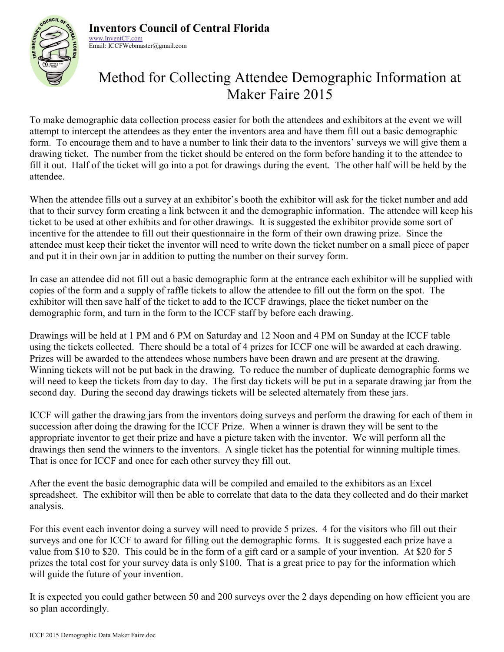

**Inventors Council of Central Florida** www.InventCF.com

Email: ICCFWebmaster@gmail.com

# Method for Collecting Attendee Demographic Information at Maker Faire 2015

To make demographic data collection process easier for both the attendees and exhibitors at the event we will attempt to intercept the attendees as they enter the inventors area and have them fill out a basic demographic form. To encourage them and to have a number to link their data to the inventors' surveys we will give them a drawing ticket. The number from the ticket should be entered on the form before handing it to the attendee to fill it out. Half of the ticket will go into a pot for drawings during the event. The other half will be held by the attendee.

When the attendee fills out a survey at an exhibitor's booth the exhibitor will ask for the ticket number and add that to their survey form creating a link between it and the demographic information. The attendee will keep his ticket to be used at other exhibits and for other drawings. It is suggested the exhibitor provide some sort of incentive for the attendee to fill out their questionnaire in the form of their own drawing prize. Since the attendee must keep their ticket the inventor will need to write down the ticket number on a small piece of paper and put it in their own jar in addition to putting the number on their survey form.

In case an attendee did not fill out a basic demographic form at the entrance each exhibitor will be supplied with copies of the form and a supply of raffle tickets to allow the attendee to fill out the form on the spot. The exhibitor will then save half of the ticket to add to the ICCF drawings, place the ticket number on the demographic form, and turn in the form to the ICCF staff by before each drawing.

Drawings will be held at 1 PM and 6 PM on Saturday and 12 Noon and 4 PM on Sunday at the ICCF table using the tickets collected. There should be a total of 4 prizes for ICCF one will be awarded at each drawing. Prizes will be awarded to the attendees whose numbers have been drawn and are present at the drawing. Winning tickets will not be put back in the drawing. To reduce the number of duplicate demographic forms we will need to keep the tickets from day to day. The first day tickets will be put in a separate drawing jar from the second day. During the second day drawings tickets will be selected alternately from these jars.

ICCF will gather the drawing jars from the inventors doing surveys and perform the drawing for each of them in succession after doing the drawing for the ICCF Prize. When a winner is drawn they will be sent to the appropriate inventor to get their prize and have a picture taken with the inventor. We will perform all the drawings then send the winners to the inventors. A single ticket has the potential for winning multiple times. That is once for ICCF and once for each other survey they fill out.

After the event the basic demographic data will be compiled and emailed to the exhibitors as an Excel spreadsheet. The exhibitor will then be able to correlate that data to the data they collected and do their market analysis.

For this event each inventor doing a survey will need to provide 5 prizes. 4 for the visitors who fill out their surveys and one for ICCF to award for filling out the demographic forms. It is suggested each prize have a value from \$10 to \$20. This could be in the form of a gift card or a sample of your invention. At \$20 for 5 prizes the total cost for your survey data is only \$100. That is a great price to pay for the information which will guide the future of your invention.

It is expected you could gather between 50 and 200 surveys over the 2 days depending on how efficient you are so plan accordingly.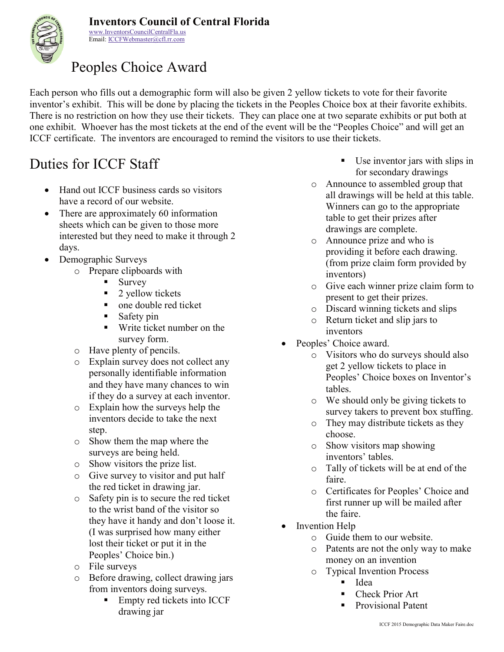



www.InventorsCouncilCentralFla.us Email: ICCFWebmaster@cfl.rr.com

# Peoples Choice Award

Each person who fills out a demographic form will also be given 2 yellow tickets to vote for their favorite inventor's exhibit. This will be done by placing the tickets in the Peoples Choice box at their favorite exhibits. There is no restriction on how they use their tickets. They can place one at two separate exhibits or put both at one exhibit. Whoever has the most tickets at the end of the event will be the "Peoples Choice" and will get an ICCF certificate. The inventors are encouraged to remind the visitors to use their tickets.

# Duties for ICCF Staff

- Hand out ICCF business cards so visitors have a record of our website.
- There are approximately 60 information sheets which can be given to those more interested but they need to make it through 2 days.
- Demographic Surveys
	- o Prepare clipboards with
		- $\blacksquare$  Survey
		- $\blacksquare$  2 yellow tickets
		- one double red ticket
		- $\blacksquare$  Safety pin
		- **Write ticket number on the** survey form.
	- o Have plenty of pencils.
	- o Explain survey does not collect any personally identifiable information and they have many chances to win if they do a survey at each inventor.
	- o Explain how the surveys help the inventors decide to take the next step.
	- o Show them the map where the surveys are being held.
	- o Show visitors the prize list.
	- o Give survey to visitor and put half the red ticket in drawing jar.
	- o Safety pin is to secure the red ticket to the wrist band of the visitor so they have it handy and don't loose it. (I was surprised how many either lost their ticket or put it in the Peoples' Choice bin.)
	- o File surveys
	- o Before drawing, collect drawing jars from inventors doing surveys.
		- Empty red tickets into ICCF drawing jar
- Use inventor jars with slips in for secondary drawings
- o Announce to assembled group that all drawings will be held at this table. Winners can go to the appropriate table to get their prizes after drawings are complete.
- o Announce prize and who is providing it before each drawing. (from prize claim form provided by inventors)
- o Give each winner prize claim form to present to get their prizes.
- o Discard winning tickets and slips
- o Return ticket and slip jars to inventors
- Peoples' Choice award.
	- o Visitors who do surveys should also get 2 yellow tickets to place in Peoples' Choice boxes on Inventor's tables.
	- o We should only be giving tickets to survey takers to prevent box stuffing.
	- o They may distribute tickets as they choose.
	- o Show visitors map showing inventors' tables.
	- o Tally of tickets will be at end of the faire.
	- o Certificates for Peoples' Choice and first runner up will be mailed after the faire.
- Invention Help
	- $\circ$  Guide them to our website.
	- o Patents are not the only way to make money on an invention
	- o Typical Invention Process
		- $I$ dea
		- Check Prior Art
		- Provisional Patent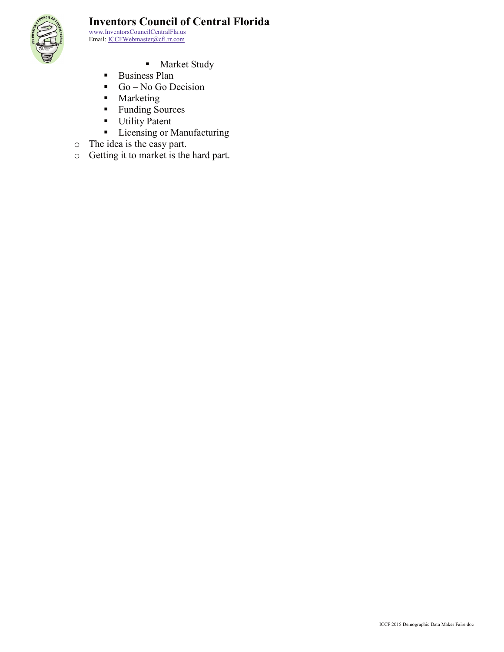

#### **Inventors Council of Central Florida**

www.InventorsCouncilCentralFla.us Email: ICCFWebmaster@cfl.rr.com

- **Market Study**
- **Business Plan**
- Go No Go Decision
- **Marketing**
- Funding Sources
- **Utility Patent**
- **Licensing or Manufacturing**
- o The idea is the easy part.
- o Getting it to market is the hard part.